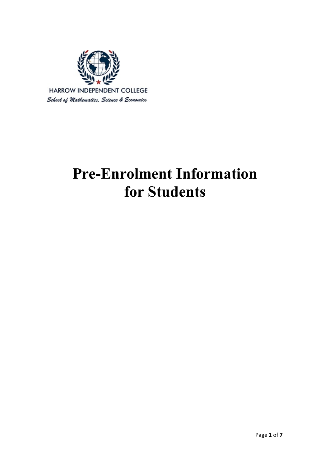

# **Pre-Enrolment Information for Students**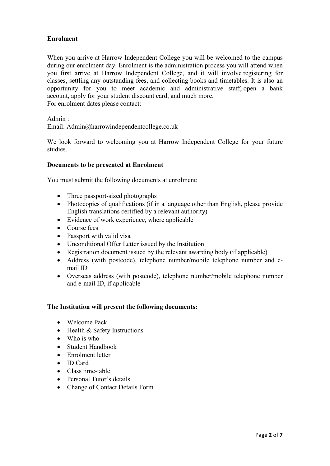# **Enrolment**

When you arrive at Harrow Independent College you will be welcomed to the campus during our enrolment day. Enrolment is the administration process you will attend when you first arrive at Harrow Independent College, and it will involve registering for classes, settling any outstanding fees, and collecting books and timetables. It is also an opportunity for you to meet academic and administrative staff, open a bank account, apply for your student discount card, and much more. For enrolment dates please contact:

Admin :

Email: Admin@harrowindependentcollege.co.uk

We look forward to welcoming you at Harrow Independent College for your future studies.

## **Documents to be presented at Enrolment**

You must submit the following documents at enrolment:

- Three passport-sized photographs
- Photocopies of qualifications (if in a language other than English, please provide English translations certified by a relevant authority)
- Evidence of work experience, where applicable
- Course fees
- Passport with valid visa
- Unconditional Offer Letter issued by the Institution
- Registration document issued by the relevant awarding body (if applicable)
- Address (with postcode), telephone number/mobile telephone number and email ID
- Overseas address (with postcode), telephone number/mobile telephone number and e-mail ID, if applicable

#### **The Institution will present the following documents:**

- Welcome Pack
- Health & Safety Instructions
- Who is who
- Student Handbook
- Enrolment letter
- ID Card
- Class time-table
- Personal Tutor's details
- Change of Contact Details Form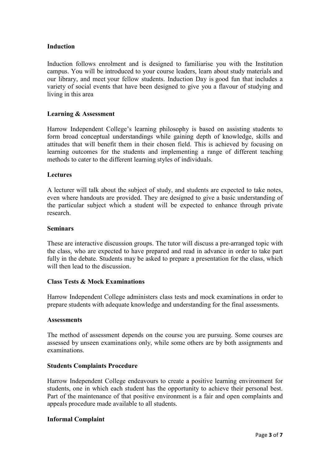# **Induction**

Induction follows enrolment and is designed to familiarise you with the Institution campus. You will be introduced to your course leaders, learn about study materials and our library, and meet your fellow students. Induction Day is good fun that includes a variety of social events that have been designed to give you a flavour of studying and living in this area

# **Learning & Assessment**

Harrow Independent College's learning philosophy is based on assisting students to form broad conceptual understandings while gaining depth of knowledge, skills and attitudes that will benefit them in their chosen field. This is achieved by focusing on learning outcomes for the students and implementing a range of different teaching methods to cater to the different learning styles of individuals.

# **Lectures**

A lecturer will talk about the subject of study, and students are expected to take notes, even where handouts are provided. They are designed to give a basic understanding of the particular subject which a student will be expected to enhance through private research.

## **Seminars**

These are interactive discussion groups. The tutor will discuss a pre-arranged topic with the class, who are expected to have prepared and read in advance in order to take part fully in the debate. Students may be asked to prepare a presentation for the class, which will then lead to the discussion.

# **Class Tests & Mock Examinations**

Harrow Independent College administers class tests and mock examinations in order to prepare students with adequate knowledge and understanding for the final assessments.

#### **Assessments**

The method of assessment depends on the course you are pursuing. Some courses are assessed by unseen examinations only, while some others are by both assignments and examinations.

# **Students Complaints Procedure**

Harrow Independent College endeavours to create a positive learning environment for students, one in which each student has the opportunity to achieve their personal best. Part of the maintenance of that positive environment is a fair and open complaints and appeals procedure made available to all students.

#### **Informal Complaint**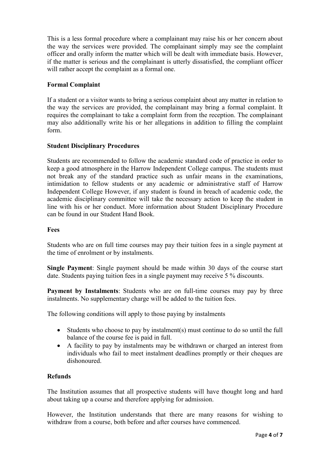This is a less formal procedure where a complainant may raise his or her concern about the way the services were provided. The complainant simply may see the complaint officer and orally inform the matter which will be dealt with immediate basis. However, if the matter is serious and the complainant is utterly dissatisfied, the compliant officer will rather accept the complaint as a formal one.

# **Formal Complaint**

If a student or a visitor wants to bring a serious complaint about any matter in relation to the way the services are provided, the complainant may bring a formal complaint. It requires the complainant to take a complaint form from the reception. The complainant may also additionally write his or her allegations in addition to filling the complaint form.

# **Student Disciplinary Procedures**

Students are recommended to follow the academic standard code of practice in order to keep a good atmosphere in the Harrow Independent College campus. The students must not break any of the standard practice such as unfair means in the examinations, intimidation to fellow students or any academic or administrative staff of Harrow Independent College However, if any student is found in breach of academic code, the academic disciplinary committee will take the necessary action to keep the student in line with his or her conduct. More information about Student Disciplinary Procedure can be found in our Student Hand Book.

## **Fees**

Students who are on full time courses may pay their tuition fees in a single payment at the time of enrolment or by instalments.

**Single Payment**: Single payment should be made within 30 days of the course start date. Students paying tuition fees in a single payment may receive 5 % discounts.

**Payment by Instalments**: Students who are on full-time courses may pay by three instalments. No supplementary charge will be added to the tuition fees.

The following conditions will apply to those paying by instalments

- Students who choose to pay by instalment(s) must continue to do so until the full balance of the course fee is paid in full.
- A facility to pay by instalments may be withdrawn or charged an interest from individuals who fail to meet instalment deadlines promptly or their cheques are dishonoured.

# **Refunds**

The Institution assumes that all prospective students will have thought long and hard about taking up a course and therefore applying for admission.

However, the Institution understands that there are many reasons for wishing to withdraw from a course, both before and after courses have commenced.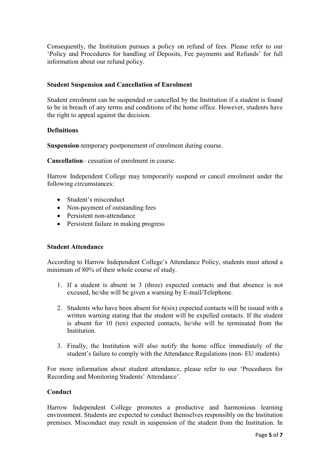Consequently, the Institution pursues a policy on refund of fees. Please refer to our 'Policy and Procedures for handling of Deposits, Fee payments and Refunds' for full information about our refund policy.

# **Student Suspension and Cancellation of Enrolment**

Student enrolment can be suspended or cancelled by the Institution if a student is found to be in breach of any terms and conditions of the home office. However, students have the right to appeal against the decision.

# **Definitions**

**Suspension**-temporary postponement of enrolment during course.

**Cancellation**– cessation of enrolment in course.

Harrow Independent College may temporarily suspend or cancel enrolment under the following circumstances:

- Student's misconduct
- Non-payment of outstanding fees
- Persistent non-attendance
- Persistent failure in making progress

# **Student Attendance**

According to Harrow Independent College's Attendance Policy, students must attend a minimum of 80% of their whole course of study.

- 1. If a student is absent in 3 (three) expected contacts and that absence is not excused, he/she will be given a warning by E-mail/Telephone.
- 2. Students who have been absent for 6(six) expected contacts will be issued with a written warning stating that the student will be expelled contacts. If the student is absent for 10 (ten) expected contacts, he/she will be terminated from the Institution.
- 3. Finally, the Institution will also notify the home office immediately of the student's failure to comply with the Attendance Regulations (non- EU students)

For more information about student attendance, please refer to our 'Procedures for Recording and Monitoring Students' Attendance'.

# **Conduct**

Harrow Independent College promotes a productive and harmonious learning environment. Students are expected to conduct themselves responsibly on the Institution premises. Misconduct may result in suspension of the student from the Institution. In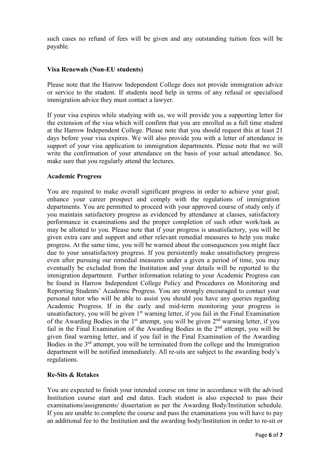such cases no refund of fees will be given and any outstanding tuition fees will be payable.

# **Visa Renewals (Non-EU students)**

Please note that the Harrow Independent College does not provide immigration advice or service to the student. If students need help in terms of any refusal or specialised immigration advice they must contact a lawyer.

If your visa expires while studying with us, we will provide you a supporting letter for the extension of the visa which will confirm that you are enrolled as a full time student at the Harrow Independent College. Please note that you should request this at least 21 days before your visa expires. We will also provide you with a letter of attendance in support of your visa application to immigration departments. Please note that we will write the confirmation of your attendance on the basis of your actual attendance. So, make sure that you regularly attend the lectures.

## **Academic Progress**

You are required to make overall significant progress in order to achieve your goal; enhance your career prospect and comply with the regulations of immigration departments. You are permitted to proceed with your approved course of study only if you maintain satisfactory progress as evidenced by attendance at classes, satisfactory performance in examinations and the proper completion of such other work/task as may be allotted to you. Please note that if your progress is unsatisfactory, you will be given extra care and support and other relevant remedial measures to help you make progress. At the same time, you will be warned about the consequences you might face due to your unsatisfactory progress. If you persistently make unsatisfactory progress even after pursuing our remedial measures under a given a period of time, you may eventually be excluded from the Institution and your details will be reported to the immigration department. Further information relating to your Academic Progress can be found in Harrow Independent College Policy and Procedures on Monitoring and Reporting Students' Academic Progress. You are strongly encouraged to contact your personal tutor who will be able to assist you should you have any queries regarding Academic Progress. If in the early and mid-term monitoring your progress is unsatisfactory, you will be given  $1<sup>st</sup>$  warning letter, if you fail in the Final Examination of the Awarding Bodies in the 1<sup>st</sup> attempt, you will be given  $2<sup>nd</sup>$  warning letter, if you fail in the Final Examination of the Awarding Bodies in the  $2<sup>nd</sup>$  attempt, you will be given final warning letter, and if you fail in the Final Examination of the Awarding Bodies in the 3<sup>rd</sup> attempt, you will be terminated from the college and the Immigration department will be notified immediately. All re-sits are subject to the awarding body's regulations.

# **Re-Sits & Retakes**

You are expected to finish your intended course on time in accordance with the advised Institution course start and end dates. Each student is also expected to pass their examinations/assignments/ dissertation as per the Awarding Body/Institution schedule. If you are unable to complete the course and pass the examinations you will have to pay an additional fee to the Institution and the awarding body/Institution in order to re-sit or